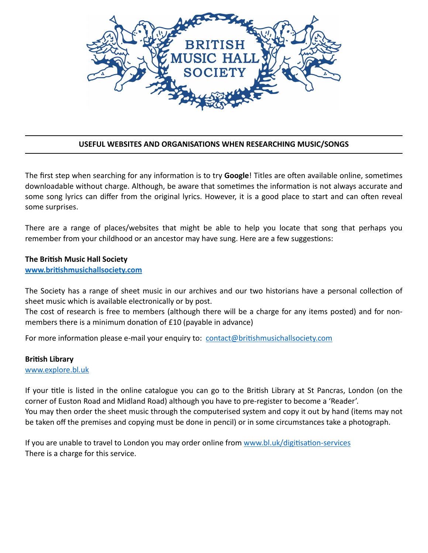

## **USEFUL WEBSITES AND ORGANISATIONS WHEN RESEARCHING MUSIC/SONGS**

The first step when searching for any information is to try **Google**! Titles are often available online, sometimes downloadable without charge. Although, be aware that sometimes the information is not always accurate and some song lyrics can differ from the original lyrics. However, it is a good place to start and can often reveal some surprises.

There are a range of places/websites that might be able to help you locate that song that perhaps you remember from your childhood or an ancestor may have sung. Here are a few suggestions:

#### **The British Music Hall Society**

www.britishmusichallsociety.com

The Society has a range of sheet music in our archives and our two historians have a personal collection of sheet music which is available electronically or by post.

The cost of research is free to members (although there will be a charge for any items posted) and for nonmembers there is a minimum donation of £10 (payable in advance)

For more information please e-mail your enquiry to: contact@britishmusichallsociety.com

#### **British Library**

[www.explore.bl](http://www.explore.bl.uk)*.*uk

If your title is listed in the online catalogue you can go to the British Library at St Pancras, London (on the corner of Euston Road and Midland Road) although you have to pre-register to become a 'Reader'. You may then order the sheet music through the computerised system and copy it out by hand (items may not be taken off the premises and copying must be done in pencil) or in some circumstances take a photograph.

If you are unable to travel to London you may order online from www.bl.uk/digitisation-services There is a charge for this service.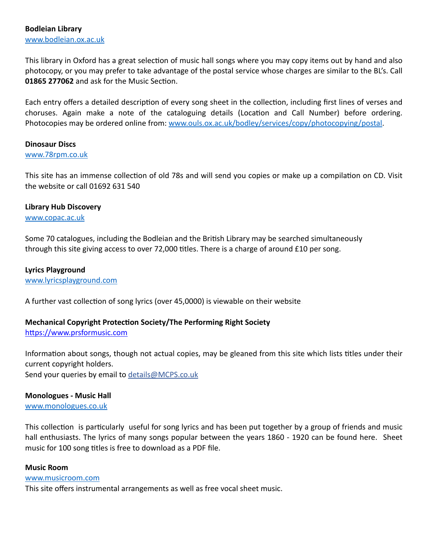This library in Oxford has a great selection of music hall songs where you may copy items out by hand and also photocopy, or you may prefer to take advantage of the postal service whose charges are similar to the BL's. Call 01865 277062 and ask for the Music Section.

Each entry offers a detailed description of every song sheet in the collection, including first lines of verses and choruses. Again make a note of the cataloguing details (Location and Call Number) before ordering. Photocopies may be ordered online from: [www.ouls.ox.ac.uk/bodley/services/copy/photocopying/postal.](http://www.ouls.ox.ac.uk/bodley/services/copy/photocopying/postal)

## **Dinosaur Discs**

#### [www.78rpm.co.uk](http://www.78rpm.co.uk)

This site has an immense collection of old 78s and will send you copies or make up a compilation on CD. Visit the website or call 01692 631 540

#### **Library Hub Discovery**

[www.copac.ac.uk](http://www.copac.ac.uk)

Some 70 catalogues, including the Bodleian and the British Library may be searched simultaneously through this site giving access to over 72,000 titles. There is a charge of around  $£10$  per song.

## **Lyrics Playground**

[www.lyricsplayground.com](http://www.lyricsplayground.com)

A further vast collection of song lyrics (over 45,0000) is viewable on their website.

# **Mechanical Copyright Protection Society/The Performing Right Society**

https://www.prsformusic.com

Information about songs, though not actual copies, may be gleaned from this site which lists titles under their current copyright holders. Send your queries by email to [details@MCPS.co.uk](mailto:details@MCPS.co.uk)

## **Monologues - Music Hall**

[www.monologues.co.uk](http://www.monologues.co.uk)

This collection is particularly useful for song lyrics and has been put together by a group of friends and music hall enthusiasts. The lyrics of many songs popular between the years 1860 - 1920 can be found here. Sheet music for 100 song titles is free to download as a PDF file.

#### **Music Room**

#### [www.musicroom.com](http://www.musicroom.com)

This site offers instrumental arrangements as well as free vocal sheet music.